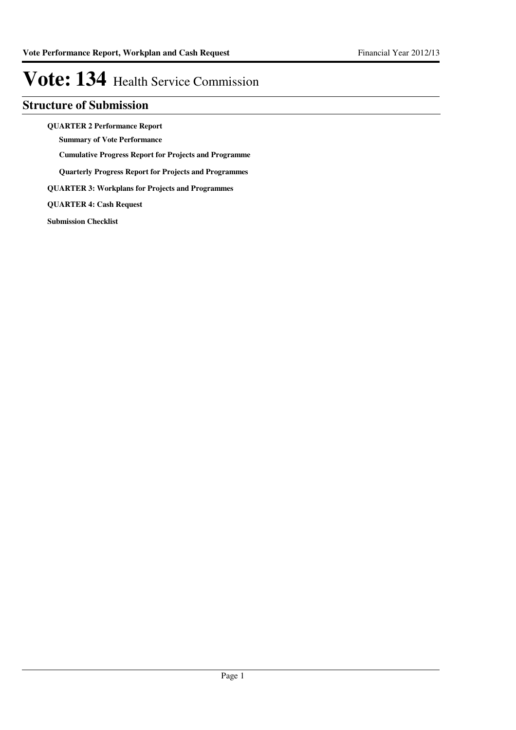## **Structure of Submission**

**QUARTER 2 Performance Report**

**Summary of Vote Performance**

**Cumulative Progress Report for Projects and Programme**

**Quarterly Progress Report for Projects and Programmes**

**QUARTER 3: Workplans for Projects and Programmes**

**QUARTER 4: Cash Request**

**Submission Checklist**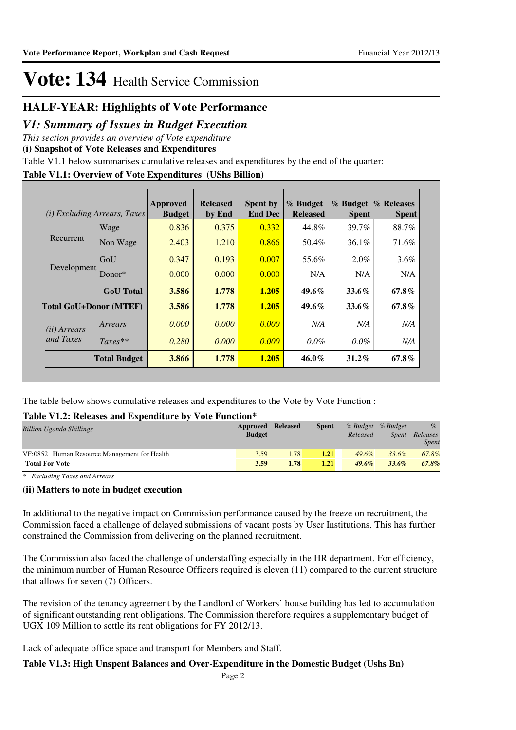### **HALF-YEAR: Highlights of Vote Performance**

### *V1: Summary of Issues in Budget Execution*

*This section provides an overview of Vote expenditure* 

**(i) Snapshot of Vote Releases and Expenditures**

Table V1.1 below summarises cumulative releases and expenditures by the end of the quarter:

### **Table V1.1: Overview of Vote Expenditures (UShs Billion)**

| (i)                   | <i>Excluding Arrears, Taxes</i> | Approved<br><b>Budget</b> | <b>Released</b><br>by End | <b>Spent by</b><br><b>End Dec</b> | % Budget<br><b>Released</b> | <b>Spent</b> | % Budget % Releases<br><b>Spent</b> |
|-----------------------|---------------------------------|---------------------------|---------------------------|-----------------------------------|-----------------------------|--------------|-------------------------------------|
| Recurrent             | Wage                            | 0.836                     | 0.375                     | 0.332                             | 44.8%                       | 39.7%        | 88.7%                               |
|                       | Non Wage                        | 2.403                     | 1.210                     | 0.866                             | 50.4%                       | 36.1%        | 71.6%                               |
| Development           | GoU                             | 0.347                     | 0.193                     | 0.007                             | 55.6%                       | $2.0\%$      | $3.6\%$                             |
|                       | Donor $*$                       | 0.000                     | 0.000                     | 0.000                             | N/A                         | N/A          | N/A                                 |
|                       | <b>GoU</b> Total                | 3.586                     | 1.778                     | 1.205                             | $49.6\%$                    | $33.6\%$     | 67.8%                               |
|                       | <b>Total GoU+Donor (MTEF)</b>   | 3.586                     | 1.778                     | 1.205                             | $49.6\%$                    | $33.6\%$     | 67.8%                               |
| ( <i>ii</i> ) Arrears | Arrears                         | 0.000                     | 0.000                     | 0.000                             | N/A                         | N/A          | N/A                                 |
| and Taxes             | $Taxes**$                       | 0.280                     | 0.000                     | 0.000                             | $0.0\%$                     | $0.0\%$      | N/A                                 |
|                       | <b>Total Budget</b>             | 3.866                     | 1.778                     | 1.205                             | $46.0\%$                    | $31.2\%$     | $67.8\%$                            |

The table below shows cumulative releases and expenditures to the Vote by Vote Function :

### **Table V1.2: Releases and Expenditure by Vote Function\***

| <b>Billion Uganda Shillings</b>              | Approved<br><b>Budget</b> | Released | <b>Spent</b> | Released | % Budget % Budget<br><i>Spent</i> | $\%$<br>Releases<br>Spent |
|----------------------------------------------|---------------------------|----------|--------------|----------|-----------------------------------|---------------------------|
| VF:0852 Human Resource Management for Health | 3.59                      | 1.78     | 1.21         | $49.6\%$ | 33.6%                             | 67.8%                     |
| <b>Total For Vote</b>                        | 3.59                      | 1.78     | 1.21         | $49.6\%$ | $33.6\%$                          | 67.8%                     |

*\* Excluding Taxes and Arrears*

### **(ii) Matters to note in budget execution**

In additional to the negative impact on Commission performance caused by the freeze on recruitment, the Commission faced a challenge of delayed submissions of vacant posts by User Institutions. This has further constrained the Commission from delivering on the planned recruitment.

The Commission also faced the challenge of understaffing especially in the HR department. For efficiency, the minimum number of Human Resource Officers required is eleven (11) compared to the current structure that allows for seven (7) Officers.

The revision of the tenancy agreement by the Landlord of Workers' house building has led to accumulation of significant outstanding rent obligations. The Commission therefore requires a supplementary budget of UGX 109 Million to settle its rent obligations for FY 2012/13.

Lack of adequate office space and transport for Members and Staff.

### **Table V1.3: High Unspent Balances and Over-Expenditure in the Domestic Budget (Ushs Bn)**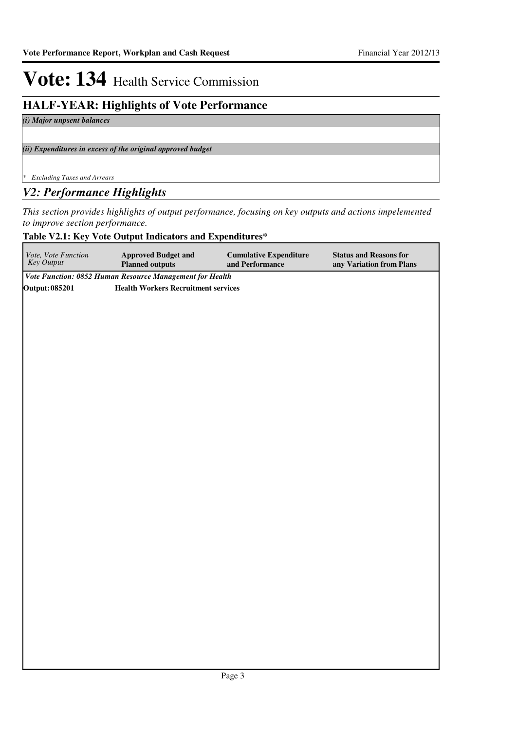## **HALF-YEAR: Highlights of Vote Performance**

*(i) Major unpsent balances*

*(ii) Expenditures in excess of the original approved budget*

*\* Excluding Taxes and Arrears*

### *V2: Performance Highlights*

*This section provides highlights of output performance, focusing on key outputs and actions impelemented to improve section performance.*

### **Table V2.1: Key Vote Output Indicators and Expenditures\***

| Vote, Vote Function<br>Key Output | <b>Approved Budget and</b><br><b>Planned outputs</b>     | <b>Cumulative Expenditure</b><br>and Performance | <b>Status and Reasons for</b><br>any Variation from Plans |
|-----------------------------------|----------------------------------------------------------|--------------------------------------------------|-----------------------------------------------------------|
|                                   | Vote Function: 0852 Human Resource Management for Health |                                                  |                                                           |
| <b>Output: 085201</b>             | <b>Health Workers Recruitment services</b>               |                                                  |                                                           |
|                                   |                                                          |                                                  |                                                           |
|                                   |                                                          |                                                  |                                                           |
|                                   |                                                          |                                                  |                                                           |
|                                   |                                                          |                                                  |                                                           |
|                                   |                                                          |                                                  |                                                           |
|                                   |                                                          |                                                  |                                                           |
|                                   |                                                          |                                                  |                                                           |
|                                   |                                                          |                                                  |                                                           |
|                                   |                                                          |                                                  |                                                           |
|                                   |                                                          |                                                  |                                                           |
|                                   |                                                          |                                                  |                                                           |
|                                   |                                                          |                                                  |                                                           |
|                                   |                                                          |                                                  |                                                           |
|                                   |                                                          |                                                  |                                                           |
|                                   |                                                          |                                                  |                                                           |
|                                   |                                                          |                                                  |                                                           |
|                                   |                                                          |                                                  |                                                           |
|                                   |                                                          |                                                  |                                                           |
|                                   |                                                          |                                                  |                                                           |
|                                   |                                                          |                                                  |                                                           |
|                                   |                                                          |                                                  |                                                           |
|                                   |                                                          |                                                  |                                                           |
|                                   |                                                          |                                                  |                                                           |
|                                   |                                                          |                                                  |                                                           |
|                                   |                                                          |                                                  |                                                           |
|                                   |                                                          |                                                  |                                                           |
|                                   |                                                          |                                                  |                                                           |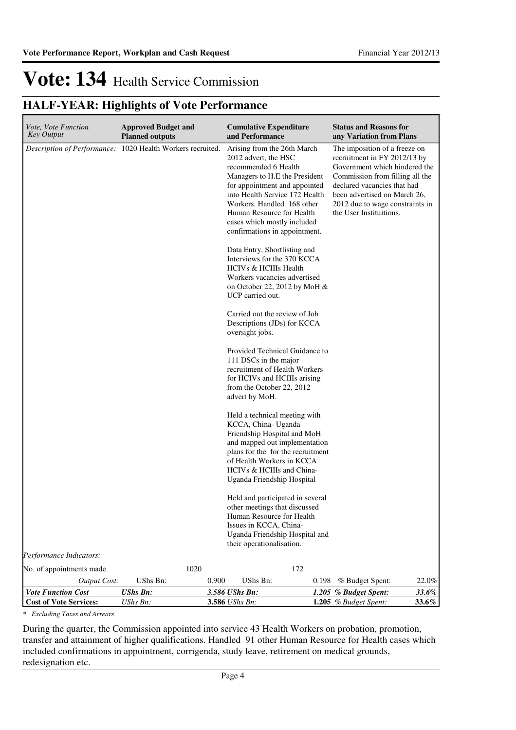## **HALF-YEAR: Highlights of Vote Performance**

| Vote, Vote Function<br>Key Output                          | <b>Approved Budget and</b><br><b>Planned outputs</b>       | <b>Cumulative Expenditure</b><br>and Performance                                                                                                                                                                                                                                                           | <b>Status and Reasons for</b><br>any Variation from Plans                                                                                                                                                                                                      |
|------------------------------------------------------------|------------------------------------------------------------|------------------------------------------------------------------------------------------------------------------------------------------------------------------------------------------------------------------------------------------------------------------------------------------------------------|----------------------------------------------------------------------------------------------------------------------------------------------------------------------------------------------------------------------------------------------------------------|
|                                                            | Description of Performance: 1020 Health Workers recruited. | Arising from the 26th March<br>2012 advert, the HSC<br>recommended 6 Health<br>Managers to H.E the President<br>for appointment and appointed<br>into Health Service 172 Health<br>Workers. Handled 168 other<br>Human Resource for Health<br>cases which mostly included<br>confirmations in appointment. | The imposition of a freeze on<br>recruitment in FY 2012/13 by<br>Government which hindered the<br>Commission from filling all the<br>declared vacancies that had<br>been advertised on March 26,<br>2012 due to wage constraints in<br>the User Instituitions. |
|                                                            |                                                            | Data Entry, Shortlisting and<br>Interviews for the 370 KCCA<br><b>HCIVs &amp; HCIIIs Health</b><br>Workers vacancies advertised<br>on October 22, 2012 by MoH $\&$<br>UCP carried out.                                                                                                                     |                                                                                                                                                                                                                                                                |
|                                                            |                                                            | Carried out the review of Job<br>Descriptions (JDs) for KCCA<br>oversight jobs.                                                                                                                                                                                                                            |                                                                                                                                                                                                                                                                |
|                                                            |                                                            | Provided Technical Guidance to<br>111 DSCs in the major<br>recruitment of Health Workers<br>for HCIVs and HCIIIs arising<br>from the October 22, 2012<br>advert by MoH.                                                                                                                                    |                                                                                                                                                                                                                                                                |
|                                                            |                                                            | Held a technical meeting with<br>KCCA, China- Uganda<br>Friendship Hospital and MoH<br>and mapped out implementation<br>plans for the for the recruitment<br>of Health Workers in KCCA<br>HCIVs & HCIIIs and China-<br>Uganda Friendship Hospital                                                          |                                                                                                                                                                                                                                                                |
|                                                            |                                                            | Held and participated in several<br>other meetings that discussed<br>Human Resource for Health<br>Issues in KCCA, China-<br>Uganda Friendship Hospital and<br>their operationalisation.                                                                                                                    |                                                                                                                                                                                                                                                                |
| Performance Indicators:                                    |                                                            |                                                                                                                                                                                                                                                                                                            |                                                                                                                                                                                                                                                                |
| No. of appointments made                                   | 1020                                                       | 172                                                                                                                                                                                                                                                                                                        |                                                                                                                                                                                                                                                                |
| <b>Output Cost:</b>                                        | UShs Bn:<br>0.900                                          | UShs Bn:<br>0.198                                                                                                                                                                                                                                                                                          | $22.0\%$<br>% Budget Spent:                                                                                                                                                                                                                                    |
| <b>Vote Function Cost</b><br><b>Cost of Vote Services:</b> | <b>UShs Bn:</b><br>UShs Bn:                                | 3.586 UShs Bn:<br>3.586 UShs Bn:                                                                                                                                                                                                                                                                           | 33.6%<br>1.205 % Budget Spent:<br>33.6%<br>1.205 % Budget Spent:                                                                                                                                                                                               |

*\* Excluding Taxes and Arrears*

During the quarter, the Commission appointed into service 43 Health Workers on probation, promotion, transfer and attainment of higher qualifications. Handled 91 other Human Resource for Health cases which included confirmations in appointment, corrigenda, study leave, retirement on medical grounds, redesignation etc.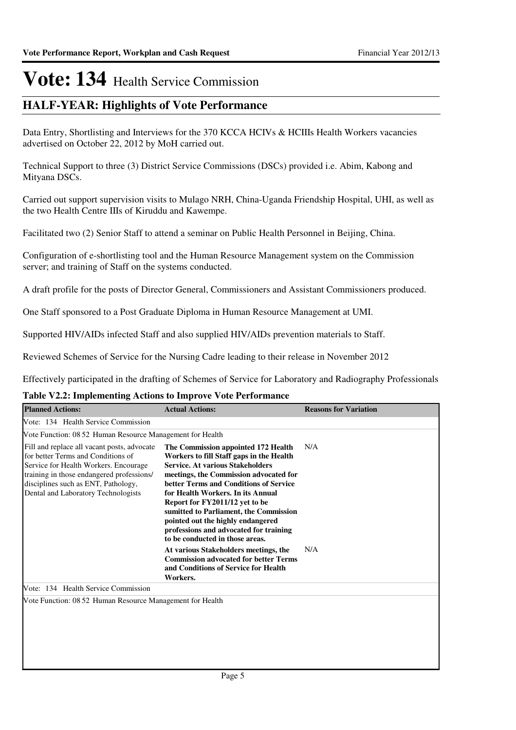## **HALF-YEAR: Highlights of Vote Performance**

Data Entry, Shortlisting and Interviews for the 370 KCCA HCIVs & HCIIIs Health Workers vacancies advertised on October 22, 2012 by MoH carried out.

Technical Support to three (3) District Service Commissions (DSCs) provided i.e. Abim, Kabong and Mityana DSCs.

Carried out support supervision visits to Mulago NRH, China-Uganda Friendship Hospital, UHI, as well as the two Health Centre IIIs of Kiruddu and Kawempe.

Facilitated two (2) Senior Staff to attend a seminar on Public Health Personnel in Beijing, China.

Configuration of e-shortlisting tool and the Human Resource Management system on the Commission server; and training of Staff on the systems conducted.

A draft profile for the posts of Director General, Commissioners and Assistant Commissioners produced.

One Staff sponsored to a Post Graduate Diploma in Human Resource Management at UMI.

Supported HIV/AIDs infected Staff and also supplied HIV/AIDs prevention materials to Staff.

Reviewed Schemes of Service for the Nursing Cadre leading to their release in November 2012

Effectively participated in the drafting of Schemes of Service for Laboratory and Radiography Professionals

### **Table V2.2: Implementing Actions to Improve Vote Performance**

| <b>Planned Actions:</b>                                                                                                                                                                                                                               | <b>Actual Actions:</b>                                                                                                                                                                                                                                                                                                                                                                                                                                                                     | <b>Reasons for Variation</b> |
|-------------------------------------------------------------------------------------------------------------------------------------------------------------------------------------------------------------------------------------------------------|--------------------------------------------------------------------------------------------------------------------------------------------------------------------------------------------------------------------------------------------------------------------------------------------------------------------------------------------------------------------------------------------------------------------------------------------------------------------------------------------|------------------------------|
| Vote: 134 Health Service Commission                                                                                                                                                                                                                   |                                                                                                                                                                                                                                                                                                                                                                                                                                                                                            |                              |
| Vote Function: 08.52 Human Resource Management for Health                                                                                                                                                                                             |                                                                                                                                                                                                                                                                                                                                                                                                                                                                                            |                              |
| Fill and replace all vacant posts, advocate<br>for better Terms and Conditions of<br>Service for Health Workers. Encourage<br>training in those endangered professions/<br>disciplines such as ENT, Pathology,<br>Dental and Laboratory Technologists | The Commission appointed 172 Health<br>Workers to fill Staff gaps in the Health<br><b>Service. At various Stakeholders</b><br>meetings, the Commission advocated for<br>better Terms and Conditions of Service<br>for Health Workers. In its Annual<br>Report for FY2011/12 yet to be<br>sumitted to Parliament, the Commission<br>pointed out the highly endangered<br>professions and advocated for training<br>to be conducted in those areas.<br>At various Stakeholders meetings, the | N/A<br>N/A                   |
|                                                                                                                                                                                                                                                       | <b>Commission advocated for better Terms</b><br>and Conditions of Service for Health<br>Workers.                                                                                                                                                                                                                                                                                                                                                                                           |                              |
| Vote: 134 Health Service Commission                                                                                                                                                                                                                   |                                                                                                                                                                                                                                                                                                                                                                                                                                                                                            |                              |
| Vote Function: 08.52 Human Resource Management for Health                                                                                                                                                                                             |                                                                                                                                                                                                                                                                                                                                                                                                                                                                                            |                              |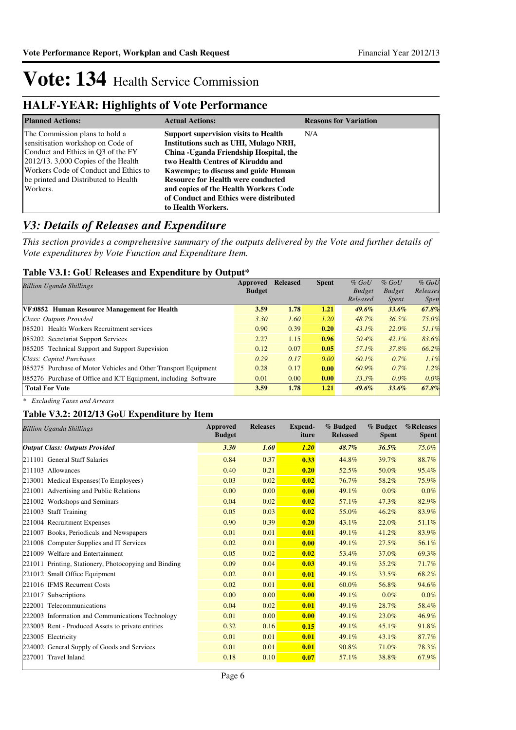## **HALF-YEAR: Highlights of Vote Performance**

| <b>Planned Actions:</b>                                                                                                                                                                                                                       | <b>Actual Actions:</b>                                                                                                                                                                                                                                                                                                                                            | <b>Reasons for Variation</b> |
|-----------------------------------------------------------------------------------------------------------------------------------------------------------------------------------------------------------------------------------------------|-------------------------------------------------------------------------------------------------------------------------------------------------------------------------------------------------------------------------------------------------------------------------------------------------------------------------------------------------------------------|------------------------------|
| The Commission plans to hold a<br>sensitisation workshop on Code of<br>Conduct and Ethics in O3 of the FY<br>2012/13. 3,000 Copies of the Health<br>Workers Code of Conduct and Ethics to<br>be printed and Distributed to Health<br>Workers. | <b>Support supervision visits to Health</b><br>Institutions such as UHI, Mulago NRH,<br>China - Uganda Friendship Hospital, the<br>two Health Centres of Kiruddu and<br>Kawempe; to discuss and guide Human<br><b>Resource for Health were conducted</b><br>and copies of the Health Workers Code<br>of Conduct and Ethics were distributed<br>to Health Workers. | N/A                          |

## *V3: Details of Releases and Expenditure*

*This section provides a comprehensive summary of the outputs delivered by the Vote and further details of Vote expenditures by Vote Function and Expenditure Item.*

### **Table V3.1: GoU Releases and Expenditure by Output\***

| <b>Billion Uganda Shillings</b>                                 | Approved      | <b>Released</b> | <b>Spent</b> | $%$ GoU       | $%$ GoU       | $%$ GoU     |
|-----------------------------------------------------------------|---------------|-----------------|--------------|---------------|---------------|-------------|
|                                                                 | <b>Budget</b> |                 |              | <b>Budget</b> | <b>Budget</b> | Releases    |
|                                                                 |               |                 |              | Released      | <i>Spent</i>  | <i>Spen</i> |
| VF:0852 Human Resource Management for Health                    | 3.59          | 1.78            | 1.21         | $49.6\%$      | $33.6\%$      | 67.8%       |
| Class: Outputs Provided                                         | 3.30          | 1.60            | 1.20         | 48.7%         | $36.5\%$      | 75.0%       |
| 085201 Health Workers Recruitment services                      | 0.90          | 0.39            | 0.20         | $43.1\%$      | 22.0%         | 51.1%       |
| 085202 Secretariat Support Services                             | 2.27          | 1.15            | 0.96         | 50.4%         | $42.1\%$      | 83.6%       |
| 085205 Technical Support and Support Supevision                 | 0.12          | 0.07            | 0.05         | 57.1%         | 37.8%         | 66.2%       |
| Class: Capital Purchases                                        | 0.29          | 0.17            | 0.00         | 60.1%         | $0.7\%$       | 1.1%        |
| 085275 Purchase of Motor Vehicles and Other Transport Equipment | 0.28          | 0.17            | 0.00         | 60.9%         | 0.7%          | 1.2%        |
| 085276 Purchase of Office and ICT Equipment, including Software | 0.01          | 0.00            | 0.00         | 33.3%         | $0.0\%$       | 0.0%        |
| <b>Total For Vote</b>                                           | 3.59          | 1.78            | 1.21         | $49.6\%$      | $33.6\%$      | 67.8%       |

*\* Excluding Taxes and Arrears*

### **Table V3.2: 2012/13 GoU Expenditure by Item**

| <b>Billion Uganda Shillings</b>                       | Approved<br><b>Budget</b> | <b>Releases</b> | <b>Expend-</b><br>iture | % Budged<br><b>Released</b> | % Budget<br><b>Spent</b> | %Releases<br><b>Spent</b> |
|-------------------------------------------------------|---------------------------|-----------------|-------------------------|-----------------------------|--------------------------|---------------------------|
| <b>Output Class: Outputs Provided</b>                 | 3.30                      | 1.60            | 1.20                    | 48.7%                       | 36.5%                    | 75.0%                     |
| 211101 General Staff Salaries                         | 0.84                      | 0.37            | 0.33                    | 44.8%                       | 39.7%                    | 88.7%                     |
| 211103 Allowances                                     | 0.40                      | 0.21            | 0.20                    | 52.5%                       | 50.0%                    | 95.4%                     |
| 213001 Medical Expenses(To Employees)                 | 0.03                      | 0.02            | 0.02                    | 76.7%                       | 58.2%                    | 75.9%                     |
| 221001 Advertising and Public Relations               | 0.00                      | 0.00            | 0.00                    | 49.1%                       | $0.0\%$                  | $0.0\%$                   |
| 221002 Workshops and Seminars                         | 0.04                      | 0.02            | 0.02                    | 57.1%                       | 47.3%                    | 82.9%                     |
| 221003 Staff Training                                 | 0.05                      | 0.03            | 0.02                    | 55.0%                       | 46.2%                    | 83.9%                     |
| 221004 Recruitment Expenses                           | 0.90                      | 0.39            | 0.20                    | 43.1%                       | 22.0%                    | 51.1%                     |
| 221007 Books, Periodicals and Newspapers              | 0.01                      | 0.01            | 0.01                    | 49.1%                       | 41.2%                    | 83.9%                     |
| 221008 Computer Supplies and IT Services              | 0.02                      | 0.01            | 0.00                    | 49.1%                       | 27.5%                    | 56.1%                     |
| 221009 Welfare and Entertainment                      | 0.05                      | 0.02            | 0.02                    | 53.4%                       | 37.0%                    | 69.3%                     |
| 221011 Printing, Stationery, Photocopying and Binding | 0.09                      | 0.04            | 0.03                    | 49.1%                       | 35.2%                    | 71.7%                     |
| 221012 Small Office Equipment                         | 0.02                      | 0.01            | 0.01                    | 49.1%                       | 33.5%                    | 68.2%                     |
| 221016 IFMS Recurrent Costs                           | 0.02                      | 0.01            | 0.01                    | 60.0%                       | 56.8%                    | 94.6%                     |
| 221017 Subscriptions                                  | 0.00                      | 0.00            | 0.00                    | 49.1%                       | $0.0\%$                  | 0.0%                      |
| 222001 Telecommunications                             | 0.04                      | 0.02            | 0.01                    | 49.1%                       | 28.7%                    | 58.4%                     |
| 222003 Information and Communications Technology      | 0.01                      | 0.00            | 0.00                    | 49.1%                       | 23.0%                    | 46.9%                     |
| 223003 Rent - Produced Assets to private entities     | 0.32                      | 0.16            | 0.15                    | 49.1%                       | 45.1%                    | 91.8%                     |
| 223005 Electricity                                    | 0.01                      | 0.01            | 0.01                    | 49.1%                       | 43.1%                    | 87.7%                     |
| 224002 General Supply of Goods and Services           | 0.01                      | 0.01            | 0.01                    | 90.8%                       | 71.0%                    | 78.3%                     |
| 227001 Travel Inland                                  | 0.18                      | 0.10            | 0.07                    | 57.1%                       | 38.8%                    | 67.9%                     |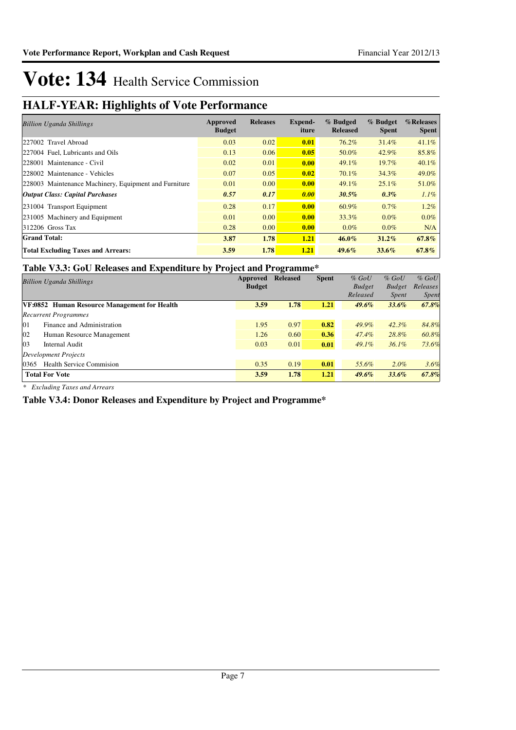## **HALF-YEAR: Highlights of Vote Performance**

| <b>Billion Uganda Shillings</b>                       | Approved<br><b>Budget</b> | <b>Releases</b> | Expend-<br>iture | % Budged<br><b>Released</b> | % Budget<br><b>Spent</b> | %Releases<br><b>Spent</b> |
|-------------------------------------------------------|---------------------------|-----------------|------------------|-----------------------------|--------------------------|---------------------------|
| 227002 Travel Abroad                                  | 0.03                      | 0.02            | 0.01             | 76.2%                       | 31.4%                    | 41.1%                     |
| 227004 Fuel, Lubricants and Oils                      | 0.13                      | 0.06            | 0.05             | 50.0%                       | 42.9%                    | 85.8%                     |
| 228001 Maintenance - Civil                            | 0.02                      | 0.01            | 0.00             | 49.1%                       | $19.7\%$                 | $40.1\%$                  |
| 228002 Maintenance - Vehicles                         | 0.07                      | 0.05            | 0.02             | 70.1%                       | 34.3%                    | 49.0%                     |
| 228003 Maintenance Machinery, Equipment and Furniture | 0.01                      | 0.00            | 0.00             | 49.1%                       | 25.1%                    | 51.0%                     |
| <b>Output Class: Capital Purchases</b>                | 0.57                      | 0.17            | 0.00             | $30.5\%$                    | $0.3\%$                  | $1.1\%$                   |
| 231004 Transport Equipment                            | 0.28                      | 0.17            | 0.00             | 60.9%                       | $0.7\%$                  | 1.2%                      |
| 231005 Machinery and Equipment                        | 0.01                      | 0.00            | 0.00             | 33.3%                       | $0.0\%$                  | $0.0\%$                   |
| 312206 Gross Tax                                      | 0.28                      | 0.00            | 0.00             | $0.0\%$                     | $0.0\%$                  | N/A                       |
| <b>Grand Total:</b>                                   | 3.87                      | 1.78            | 1.21             | $46.0\%$                    | $31.2\%$                 | $67.8\%$                  |
| <b>Total Excluding Taxes and Arrears:</b>             | 3.59                      | 1.78            | 1.21             | $49.6\%$                    | $33.6\%$                 | $67.8\%$                  |

### **Table V3.3: GoU Releases and Expenditure by Project and Programme\***

| <b>Billion Uganda Shillings</b>              | <br>Approved  | $\overline{ }$<br><b>Released</b> | <b>Spent</b> | $%$ GoU                   | $%$ GoU                       | $%$ GoU           |
|----------------------------------------------|---------------|-----------------------------------|--------------|---------------------------|-------------------------------|-------------------|
|                                              | <b>Budget</b> |                                   |              | <b>Budget</b><br>Released | <b>Budget</b><br><i>Spent</i> | Releases<br>Spent |
| VF:0852 Human Resource Management for Health | 3.59          | 1.78                              | 1.21         | $49.6\%$                  | $33.6\%$                      | 67.8%             |
| <b>Recurrent Programmes</b>                  |               |                                   |              |                           |                               |                   |
| 01<br>Finance and Administration             | 1.95          | 0.97                              | 0.82         | 49.9%                     | $42.3\%$                      | 84.8%             |
| 02<br>Human Resource Management              | 1.26          | 0.60                              | 0.36         | 47.4%                     | 28.8%                         | 60.8%             |
| 0 <sub>3</sub><br>Internal Audit             | 0.03          | 0.01                              | 0.01         | $49.1\%$                  | $36.1\%$                      | 73.6%             |
| Development Projects                         |               |                                   |              |                           |                               |                   |
| <b>Health Service Commision</b><br>0365      | 0.35          | 0.19                              | 0.01         | 55.6%                     | $2.0\%$                       | 3.6%              |
| <b>Total For Vote</b>                        | 3.59          | 1.78                              | 1.21         | $49.6\%$                  | $33.6\%$                      | 67.8%             |

*\* Excluding Taxes and Arrears*

**Table V3.4: Donor Releases and Expenditure by Project and Programme\***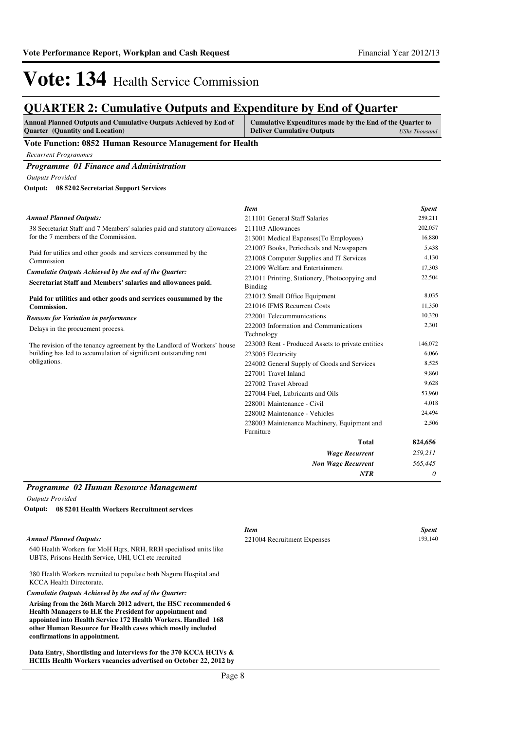## **QUARTER 2: Cumulative Outputs and Expenditure by End of Quarter**

| <b>Annual Planned Outputs and Cumulative Outputs Achieved by End of</b> | Cumulative Expenditures made by the End of the Quarter to |               |
|-------------------------------------------------------------------------|-----------------------------------------------------------|---------------|
| <b>Ouarter</b> (Quantity and Location)                                  | <b>Deliver Cumulative Outputs</b>                         | UShs Thousand |

### **Vote Function: 0852 Human Resource Management for Health**

*Recurrent Programmes*

*Programme 01 Finance and Administration*

*Outputs Provided*

**08 5202 Secretariat Support Services Output:**

|                                                                            | <b>Item</b>                                                     | <b>Spent</b> |
|----------------------------------------------------------------------------|-----------------------------------------------------------------|--------------|
| <b>Annual Planned Outputs:</b>                                             | 211101 General Staff Salaries                                   | 259,211      |
| 38 Secretariat Staff and 7 Members' salaries paid and statutory allowances | 211103 Allowances                                               | 202,057      |
| for the 7 members of the Commission.                                       | 213001 Medical Expenses (To Employees)                          | 16,880       |
| Paid for utilies and other goods and services consummed by the             | 221007 Books, Periodicals and Newspapers                        | 5,438        |
| Commission                                                                 | 221008 Computer Supplies and IT Services                        | 4,130        |
| Cumulatie Outputs Achieved by the end of the Quarter:                      | 221009 Welfare and Entertainment                                | 17,303       |
| Secretariat Staff and Members' salaries and allowances paid.               | 221011 Printing, Stationery, Photocopying and<br><b>Binding</b> | 22,504       |
| Paid for utilities and other goods and services consummed by the           | 221012 Small Office Equipment                                   | 8,035        |
| <b>Commission.</b>                                                         | 221016 IFMS Recurrent Costs                                     | 11,350       |
| <b>Reasons for Variation in performance</b>                                | 222001 Telecommunications                                       | 10,320       |
| Delays in the procuement process.                                          | 222003 Information and Communications<br>Technology             | 2,301        |
| The revision of the tenancy agreement by the Landlord of Workers' house    | 223003 Rent - Produced Assets to private entities               | 146,072      |
| building has led to accumulation of significant outstanding rent           | 223005 Electricity                                              | 6,066        |
| obligations.                                                               | 224002 General Supply of Goods and Services                     | 8,525        |
|                                                                            | 227001 Travel Inland                                            | 9,860        |
|                                                                            | 227002 Travel Abroad                                            | 9,628        |
|                                                                            | 227004 Fuel, Lubricants and Oils                                | 53,960       |
|                                                                            | 228001 Maintenance - Civil                                      | 4,018        |
|                                                                            | 228002 Maintenance - Vehicles                                   | 24,494       |
|                                                                            | 228003 Maintenance Machinery, Equipment and<br>Furniture        | 2,506        |
|                                                                            | <b>Total</b>                                                    | 824,656      |
|                                                                            | <b>Wage Recurrent</b>                                           | 259,211      |
|                                                                            | <b>Non Wage Recurrent</b>                                       | 565,445      |
|                                                                            | <b>NTR</b>                                                      | 0            |
|                                                                            |                                                                 |              |

### *Programme 02 Human Resource Management*

*Outputs Provided*

**08 5201 Health Workers Recruitment services Output:**

|                                                                                                                          | Item                        | <b>Spent</b> |
|--------------------------------------------------------------------------------------------------------------------------|-----------------------------|--------------|
| <b>Annual Planned Outputs:</b>                                                                                           | 221004 Recruitment Expenses | 193.140      |
| 640 Health Workers for MoH Hgrs, NRH, RRH specialised units like<br>UBTS, Prisons Health Service, UHI, UCI etc recruited |                             |              |
| 380 Health Workers recruited to populate both Naguru Hospital and<br><b>KCCA Health Directorate.</b>                     |                             |              |
| Cumulatie Outputs Achieved by the end of the Ouarter:                                                                    |                             |              |
| Antoing from the 26th Money 2012 edwart the HCC recommended 6                                                            |                             |              |

**Arising from the 26th March 2012 advert, the HSC recommended 6 Health Managers to H.E the President for appointment and appointed into Health Service 172 Health Workers. Handled 168 other Human Resource for Health cases which mostly included confirmations in appointment.**

**Data Entry, Shortlisting and Interviews for the 370 KCCA HCIVs & HCIIIs Health Workers vacancies advertised on October 22, 2012 by**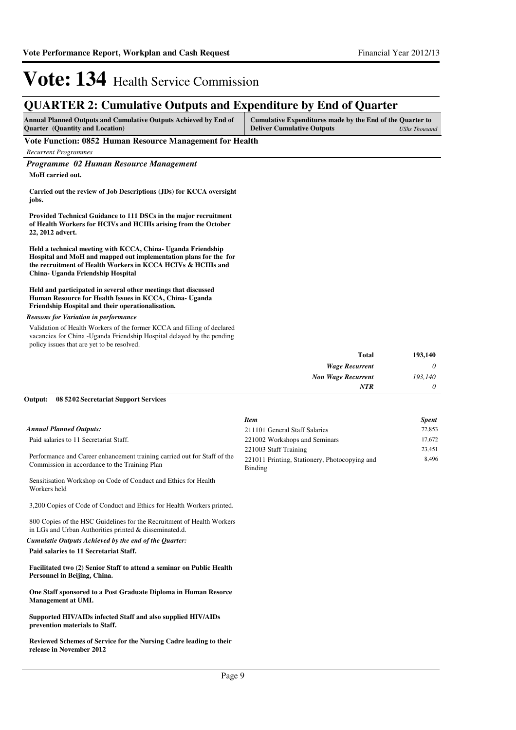## **QUARTER 2: Cumulative Outputs and Expenditure by End of Quarter**

| <b>Annual Planned Outputs and Cumulative Outputs Achieved by End of</b> | Cumulative Expenditures made by the End of the Quarter to |               |
|-------------------------------------------------------------------------|-----------------------------------------------------------|---------------|
| <b>Ouarter</b> (Quantity and Location)                                  | <b>Deliver Cumulative Outputs</b>                         | UShs Thousand |

### **Vote Function: 0852 Human Resource Management for Health**

*Recurrent Programmes*

*Programme 02 Human Resource Management*

**MoH carried out.**

**Carried out the review of Job Descriptions (JDs) for KCCA oversight jobs.**

**Provided Technical Guidance to 111 DSCs in the major recruitment of Health Workers for HCIVs and HCIIIs arising from the October 22, 2012 advert.**

**Held a technical meeting with KCCA, China- Uganda Friendship Hospital and MoH and mapped out implementation plans for the for the recruitment of Health Workers in KCCA HCIVs & HCIIIs and China- Uganda Friendship Hospital**

### **Held and participated in several other meetings that discussed Human Resource for Health Issues in KCCA, China- Uganda Friendship Hospital and their operationalisation.**

### *Reasons for Variation in performance*

Validation of Health Workers of the former KCCA and filling of declared vacancies for China -Uganda Friendship Hospital delayed by the pending policy issues that are yet to be resolved.

| 193,140  | <b>Total</b>              |
|----------|---------------------------|
| $\theta$ | <b>Wage Recurrent</b>     |
| 193,140  | <b>Non Wage Recurrent</b> |
| $\theta$ | <b>NTR</b>                |
|          |                           |

#### **08 5202 Secretariat Support Services Output:**

|                                                                          | <b>Item</b>                                   | <b>Spent</b> |
|--------------------------------------------------------------------------|-----------------------------------------------|--------------|
| Annual Planned Outputs:                                                  | 211101 General Staff Salaries                 | 72.853       |
| Paid salaries to 11 Secretariat Staff.                                   | 221002 Workshops and Seminars                 | 17.672       |
|                                                                          | 221003 Staff Training                         | 23.451       |
| Performance and Career enhancement training carried out for Staff of the | 221011 Printing, Stationery, Photocopying and | 8.496        |
| Commission in accordance to the Training Plan                            | Binding                                       |              |

3,200 Copies of Code of Conduct and Ethics for Health Workers printed.

Sensitisation Workshop on Code of Conduct and Ethics for Health

800 Copies of the HSC Guidelines for the Recruitment of Health Workers in LGs and Urban Authorities printed & disseminated.d.

*Cumulatie Outputs Achieved by the end of the Quarter:*

#### **Paid salaries to 11 Secretariat Staff.**

Workers held

**Facilitated two (2) Senior Staff to attend a seminar on Public Health Personnel in Beijing, China.**

**One Staff sponsored to a Post Graduate Diploma in Human Resorce Management at UMI.**

**Supported HIV/AIDs infected Staff and also supplied HIV/AIDs prevention materials to Staff.**

**Reviewed Schemes of Service for the Nursing Cadre leading to their release in November 2012**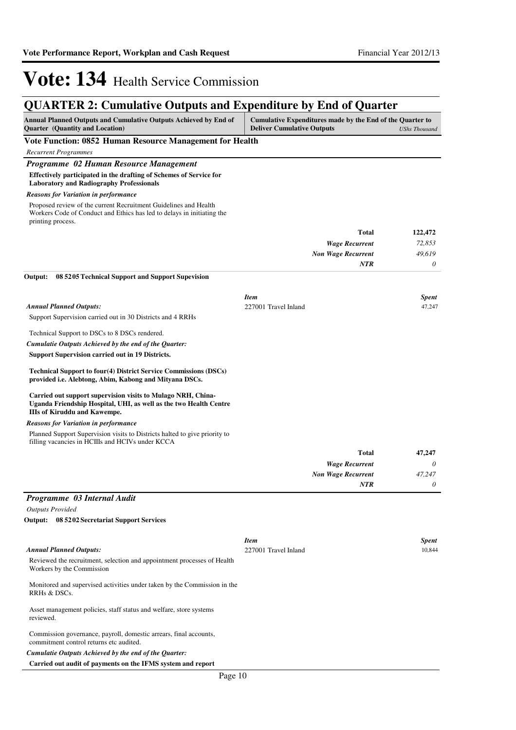# **QUARTER 2: Cumulative Outputs and Expenditure by End of Quarter**

| Annual Planned Outputs and Cumulative Outputs Achieved by End of<br><b>Quarter</b> (Quantity and Location)                                                                                                                           | Cumulative Expenditures made by the End of the Quarter to<br><b>Deliver Cumulative Outputs</b><br><b>UShs Thousand</b> |                           |                        |
|--------------------------------------------------------------------------------------------------------------------------------------------------------------------------------------------------------------------------------------|------------------------------------------------------------------------------------------------------------------------|---------------------------|------------------------|
| Vote Function: 0852 Human Resource Management for Health                                                                                                                                                                             |                                                                                                                        |                           |                        |
| Recurrent Programmes                                                                                                                                                                                                                 |                                                                                                                        |                           |                        |
| Programme 02 Human Resource Management                                                                                                                                                                                               |                                                                                                                        |                           |                        |
| Effectively participated in the drafting of Schemes of Service for<br><b>Laboratory and Radiography Professionals</b>                                                                                                                |                                                                                                                        |                           |                        |
| <b>Reasons for Variation in performance</b>                                                                                                                                                                                          |                                                                                                                        |                           |                        |
| Proposed review of the current Recruitment Guidelines and Health<br>Workers Code of Conduct and Ethics has led to delays in initiating the<br>printing process.                                                                      |                                                                                                                        |                           |                        |
|                                                                                                                                                                                                                                      |                                                                                                                        | Total                     | 122,472                |
|                                                                                                                                                                                                                                      |                                                                                                                        | <b>Wage Recurrent</b>     | 72,853                 |
|                                                                                                                                                                                                                                      |                                                                                                                        | <b>Non Wage Recurrent</b> | 49,619                 |
| Output:<br>08 52 05 Technical Support and Support Supevision                                                                                                                                                                         |                                                                                                                        | NTR                       | 0                      |
|                                                                                                                                                                                                                                      |                                                                                                                        |                           |                        |
| <b>Annual Planned Outputs:</b>                                                                                                                                                                                                       | <b>Item</b><br>227001 Travel Inland                                                                                    |                           | <b>Spent</b><br>47,247 |
| Support Supervision carried out in 30 Districts and 4 RRHs                                                                                                                                                                           |                                                                                                                        |                           |                        |
| Technical Support to DSCs to 8 DSCs rendered.                                                                                                                                                                                        |                                                                                                                        |                           |                        |
| Cumulatie Outputs Achieved by the end of the Quarter:                                                                                                                                                                                |                                                                                                                        |                           |                        |
| <b>Support Supervision carried out in 19 Districts.</b>                                                                                                                                                                              |                                                                                                                        |                           |                        |
| <b>Technical Support to four(4) District Service Commissions (DSCs)</b><br>provided i.e. Alebtong, Abim, Kabong and Mityana DSCs.                                                                                                    |                                                                                                                        |                           |                        |
| Carried out support supervision visits to Mulago NRH, China-<br>Uganda Friendship Hospital, UHI, as well as the two Health Centre<br><b>IIIs of Kiruddu and Kawempe.</b>                                                             |                                                                                                                        |                           |                        |
| <b>Reasons for Variation in performance</b>                                                                                                                                                                                          |                                                                                                                        |                           |                        |
| Planned Support Supervision visits to Districts halted to give priority to<br>filling vacancies in HCIIIs and HCIVs under KCCA                                                                                                       |                                                                                                                        |                           |                        |
|                                                                                                                                                                                                                                      |                                                                                                                        | <b>Total</b>              | 47,247                 |
|                                                                                                                                                                                                                                      |                                                                                                                        | <b>Wage Recurrent</b>     | 0                      |
|                                                                                                                                                                                                                                      |                                                                                                                        | <b>Non Wage Recurrent</b> | 47.247                 |
|                                                                                                                                                                                                                                      |                                                                                                                        | <b>NTR</b>                | 0                      |
| Programme 03 Internal Audit                                                                                                                                                                                                          |                                                                                                                        |                           |                        |
| <b>Outputs Provided</b>                                                                                                                                                                                                              |                                                                                                                        |                           |                        |
| Output: 08 5202 Secretariat Support Services                                                                                                                                                                                         |                                                                                                                        |                           |                        |
|                                                                                                                                                                                                                                      | <b>Item</b>                                                                                                            |                           | <b>Spent</b>           |
| <b>Annual Planned Outputs:</b>                                                                                                                                                                                                       | 227001 Travel Inland                                                                                                   |                           | 10,844                 |
| Reviewed the recruitment, selection and appointment processes of Health<br>Workers by the Commission                                                                                                                                 |                                                                                                                        |                           |                        |
| Monitored and supervised activities under taken by the Commission in the<br>RRHs & DSCs.                                                                                                                                             |                                                                                                                        |                           |                        |
| Asset management policies, staff status and welfare, store systems<br>reviewed.                                                                                                                                                      |                                                                                                                        |                           |                        |
| Commission governance, payroll, domestic arrears, final accounts,<br>commitment control returns etc audited.<br>Cumulatie Outputs Achieved by the end of the Quarter:<br>Carried out audit of payments on the IFMS system and report |                                                                                                                        |                           |                        |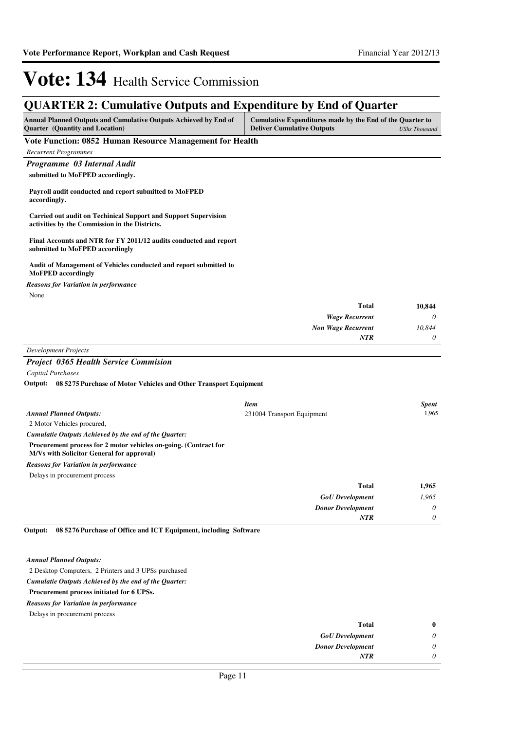## **QUARTER 2: Cumulative Outputs and Expenditure by End of Quarter**

| Annual Planned Outputs and Cumulative Outputs Achieved by End of<br><b>Quarter</b> (Quantity and Location)               | Cumulative Expenditures made by the End of the Quarter to<br><b>Deliver Cumulative Outputs</b> | <b>UShs Thousand</b> |
|--------------------------------------------------------------------------------------------------------------------------|------------------------------------------------------------------------------------------------|----------------------|
| Vote Function: 0852 Human Resource Management for Health                                                                 |                                                                                                |                      |
| <b>Recurrent Programmes</b>                                                                                              |                                                                                                |                      |
| Programme 03 Internal Audit                                                                                              |                                                                                                |                      |
| submitted to MoFPED accordingly.                                                                                         |                                                                                                |                      |
| Payroll audit conducted and report submitted to MoFPED<br>accordingly.                                                   |                                                                                                |                      |
| <b>Carried out audit on Techinical Support and Support Supervision</b><br>activities by the Commission in the Districts. |                                                                                                |                      |
| Final Accounts and NTR for FY 2011/12 audits conducted and report<br>submitted to MoFPED accordingly                     |                                                                                                |                      |
| Audit of Management of Vehicles conducted and report submitted to<br><b>MoFPED</b> accordingly                           |                                                                                                |                      |
| <b>Reasons for Variation in performance</b>                                                                              |                                                                                                |                      |
| None                                                                                                                     |                                                                                                |                      |
|                                                                                                                          | <b>Total</b>                                                                                   | 10.844               |
|                                                                                                                          | <b>Wage Recurrent</b>                                                                          | 0                    |
|                                                                                                                          | <b>Non Wage Recurrent</b>                                                                      | 10,844               |
|                                                                                                                          | <b>NTR</b>                                                                                     | 0                    |
| <b>Development Projects</b>                                                                                              |                                                                                                |                      |
| <b>Project 0365 Health Service Commision</b>                                                                             |                                                                                                |                      |
| <b>Capital Purchases</b>                                                                                                 |                                                                                                |                      |
| Output: 08 5275 Purchase of Motor Vehicles and Other Transport Equipment                                                 |                                                                                                |                      |
|                                                                                                                          | Item                                                                                           | <b>Spent</b>         |
| <b>Annual Planned Outputs:</b>                                                                                           | 231004 Transport Equipment                                                                     | 1,965                |
| 2 Motor Vehicles procured,                                                                                               |                                                                                                |                      |
| Cumulatie Outputs Achieved by the end of the Quarter:                                                                    |                                                                                                |                      |
| Procurement process for 2 motor vehicles on-going. (Contract for<br>M/Vs with Solicitor General for approval)            |                                                                                                |                      |
| <b>Reasons for Variation in performance</b>                                                                              |                                                                                                |                      |
| Delays in procurement process                                                                                            |                                                                                                |                      |
|                                                                                                                          | <b>Total</b>                                                                                   | 1,965                |
|                                                                                                                          | <b>GoU</b> Development                                                                         | 1,965                |
|                                                                                                                          | <b>Donor Development</b>                                                                       | 0                    |
|                                                                                                                          | NTR                                                                                            | $\theta$             |

**08 5276 Purchase of Office and ICT Equipment, including Software Output:**

*Annual Planned Outputs:*

2 Desktop Computers, 2 Printers and 3 UPSs purchased

### *Cumulatie Outputs Achieved by the end of the Quarter:*

**Procurement process initiated for 6 UPSs.**

### *Reasons for Variation in performance*

Delays in procurement process

| $\bf{0}$ | <b>Total</b>             |
|----------|--------------------------|
| U        | <b>GoU</b> Development   |
| υ        | <b>Donor Development</b> |
|          | <b>NTR</b>               |
|          |                          |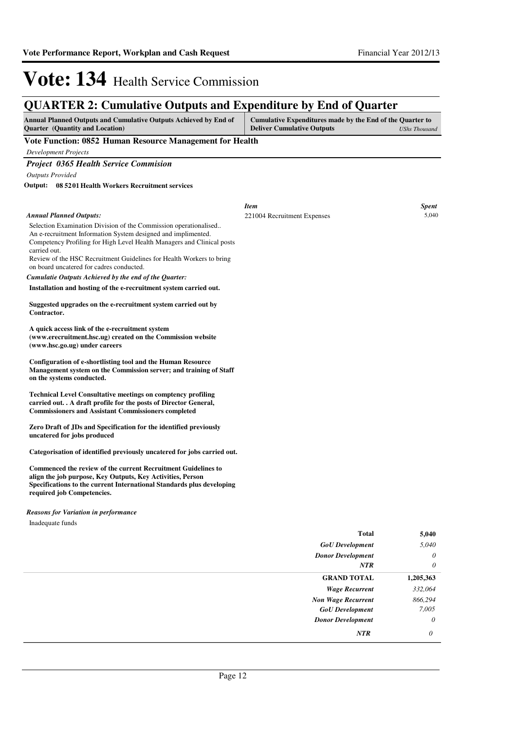## **QUARTER 2: Cumulative Outputs and Expenditure by End of Quarter**

| <b>Annual Planned Outputs and Cumulative Outputs Achieved by End of</b><br><b>Quarter</b> (Quantity and Location)                                                                                                                  | Cumulative Expenditures made by the End of the Quarter to<br><b>Deliver Cumulative Outputs</b> | <b>UShs Thousand</b> |
|------------------------------------------------------------------------------------------------------------------------------------------------------------------------------------------------------------------------------------|------------------------------------------------------------------------------------------------|----------------------|
| Vote Function: 0852 Human Resource Management for Health                                                                                                                                                                           |                                                                                                |                      |
| <b>Development Projects</b>                                                                                                                                                                                                        |                                                                                                |                      |
| <b>Project 0365 Health Service Commision</b>                                                                                                                                                                                       |                                                                                                |                      |
| <b>Outputs Provided</b>                                                                                                                                                                                                            |                                                                                                |                      |
| 08 5201 Health Workers Recruitment services<br>Output:                                                                                                                                                                             |                                                                                                |                      |
|                                                                                                                                                                                                                                    |                                                                                                |                      |
|                                                                                                                                                                                                                                    | <b>Item</b>                                                                                    | <b>Spent</b>         |
| <b>Annual Planned Outputs:</b>                                                                                                                                                                                                     | 221004 Recruitment Expenses                                                                    | 5,040                |
| Selection Examination Division of the Commission operationalised<br>An e-recruitment Information System designed and implimented.<br>Competency Profiling for High Level Health Managers and Clinical posts<br>carried out.        |                                                                                                |                      |
| Review of the HSC Recruitment Guidelines for Health Workers to bring<br>on board uncatered for cadres conducted.                                                                                                                   |                                                                                                |                      |
| Cumulatie Outputs Achieved by the end of the Quarter:                                                                                                                                                                              |                                                                                                |                      |
| Installation and hosting of the e-recruitment system carried out.                                                                                                                                                                  |                                                                                                |                      |
| Suggested upgrades on the e-recruitment system carried out by<br>Contractor.                                                                                                                                                       |                                                                                                |                      |
| A quick access link of the e-recruitment system<br>(www.erecruitment.hsc.ug) created on the Commission website<br>(www.hsc.go.ug) under careers                                                                                    |                                                                                                |                      |
| Configuration of e-shortlisting tool and the Human Resource<br>Management system on the Commission server; and training of Staff<br>on the systems conducted.                                                                      |                                                                                                |                      |
| <b>Technical Level Consultative meetings on comptency profiling</b><br>carried out. . A draft profile for the posts of Director General,<br><b>Commissioners and Assistant Commissioners completed</b>                             |                                                                                                |                      |
| Zero Draft of JDs and Specification for the identified previously<br>uncatered for jobs produced                                                                                                                                   |                                                                                                |                      |
| Categorisation of identified previously uncatered for jobs carried out.                                                                                                                                                            |                                                                                                |                      |
| Commenced the review of the current Recruitment Guidelines to<br>align the job purpose, Key Outputs, Key Activities, Person<br>Specifications to the current International Standards plus developing<br>required job Competencies. |                                                                                                |                      |
| <b>Reasons for Variation in performance</b>                                                                                                                                                                                        |                                                                                                |                      |
| Inadequate funds                                                                                                                                                                                                                   |                                                                                                |                      |
|                                                                                                                                                                                                                                    | <b>Total</b>                                                                                   | 5,040                |
|                                                                                                                                                                                                                                    | <b>GoU</b> Development                                                                         | 5,040                |
|                                                                                                                                                                                                                                    | <b>Donor Development</b>                                                                       | 0                    |

| v         | Donor Development         |
|-----------|---------------------------|
| $\theta$  | <b>NTR</b>                |
| 1,205,363 | <b>GRAND TOTAL</b>        |
| 332,064   | <b>Wage Recurrent</b>     |
| 866,294   | <b>Non Wage Recurrent</b> |
| 7,005     | <b>GoU</b> Development    |
| $\theta$  | <b>Donor Development</b>  |
| $\theta$  | <b>NTR</b>                |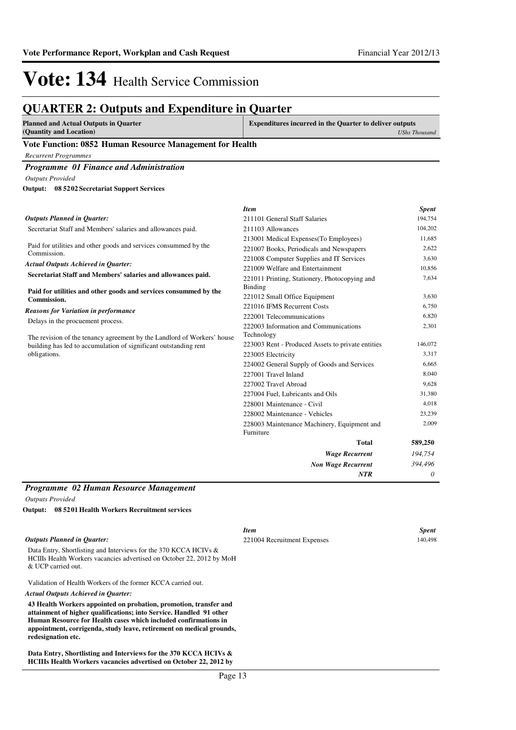## **QUARTER 2: Outputs and Expenditure in Quarter**

| <b>Planned and Actual Outputs in Quarter</b> |  | <b>Expenditures incurred in the Quarter to deliver outputs</b> |  |                      |  |
|----------------------------------------------|--|----------------------------------------------------------------|--|----------------------|--|
| (Quantity and Location)                      |  |                                                                |  | <b>UShs Thousand</b> |  |
| -- - -                                       |  | $\overline{\phantom{a}}$                                       |  |                      |  |

### **Vote Function: 0852 Human Resource Management for Health**

*Recurrent Programmes*

### *Programme 01 Finance and Administration*

*Outputs Provided*

**08 5202 Secretariat Support Services Output:**

|                                                                                                                                             | <b>Item</b>                                                         | <b>Spent</b>   |
|---------------------------------------------------------------------------------------------------------------------------------------------|---------------------------------------------------------------------|----------------|
| <b>Outputs Planned in Quarter:</b>                                                                                                          | 211101 General Staff Salaries                                       | 194,754        |
| Secretariat Staff and Members' salaries and allowances paid.                                                                                | 211103 Allowances                                                   | 104,202        |
|                                                                                                                                             | 213001 Medical Expenses (To Employees)                              | 11,685         |
| Paid for utilities and other goods and services consummed by the<br>Commission.                                                             | 221007 Books, Periodicals and Newspapers                            | 2,622          |
|                                                                                                                                             | 221008 Computer Supplies and IT Services                            | 3,630          |
| <b>Actual Outputs Achieved in Quarter:</b>                                                                                                  | 221009 Welfare and Entertainment                                    | 10,856         |
| Secretariat Staff and Members' salaries and allowances paid.                                                                                | 221011 Printing, Stationery, Photocopying and                       | 7,634          |
| Paid for utilities and other goods and services consummed by the<br>Commission.                                                             | Binding<br>221012 Small Office Equipment                            | 3,630          |
| <b>Reasons for Variation in performance</b>                                                                                                 | 221016 IFMS Recurrent Costs                                         | 6,750          |
| Delays in the procuement process.                                                                                                           | 222001 Telecommunications<br>222003 Information and Communications  | 6,820<br>2,301 |
| The revision of the tenancy agreement by the Landlord of Workers' house<br>building has led to accumulation of significant outstanding rent | Technology<br>223003 Rent - Produced Assets to private entities     | 146,072        |
| obligations.                                                                                                                                | 223005 Electricity                                                  | 3,317<br>6,665 |
|                                                                                                                                             | 224002 General Supply of Goods and Services<br>227001 Travel Inland | 8,040          |
|                                                                                                                                             | 227002 Travel Abroad                                                | 9,628          |
|                                                                                                                                             | 227004 Fuel, Lubricants and Oils                                    | 31,380         |
|                                                                                                                                             | 228001 Maintenance - Civil                                          | 4,018          |
|                                                                                                                                             | 228002 Maintenance - Vehicles                                       | 23,239         |
|                                                                                                                                             | 228003 Maintenance Machinery, Equipment and<br>Furniture            | 2,009          |
|                                                                                                                                             | <b>Total</b>                                                        | 589,250        |
|                                                                                                                                             | <b>Wage Recurrent</b>                                               | 194,754        |
|                                                                                                                                             | <b>Non Wage Recurrent</b>                                           | 394,496        |
|                                                                                                                                             | NTR                                                                 | 0              |

### *Programme 02 Human Resource Management*

*Outputs Provided*

**redesignation etc.**

**08 5201 Health Workers Recruitment services Output:**

|                                                                                                                                                                                                             | <b>Item</b>                 | <b>Spent</b> |
|-------------------------------------------------------------------------------------------------------------------------------------------------------------------------------------------------------------|-----------------------------|--------------|
| <b>Outputs Planned in Ouarter:</b>                                                                                                                                                                          | 221004 Recruitment Expenses | 140,498      |
| Data Entry, Shortlisting and Interviews for the 370 KCCA HCIVs &<br>HCIIIs Health Workers vacancies advertised on October 22, 2012 by MoH<br>& UCP carried out.                                             |                             |              |
| Validation of Health Workers of the former KCCA carried out.                                                                                                                                                |                             |              |
| Actual Outputs Achieved in Ouarter:                                                                                                                                                                         |                             |              |
| 43 Health Workers appointed on probation, promotion, transfer and<br>attainment of higher qualifications; into Service. Handled 91 other<br>Human Resource for Health cases which included confirmations in |                             |              |
| appointment, corrigenda, study leave, retirement on medical grounds,                                                                                                                                        |                             |              |

**Data Entry, Shortlisting and Interviews for the 370 KCCA HCIVs & HCIIIs Health Workers vacancies advertised on October 22, 2012 by**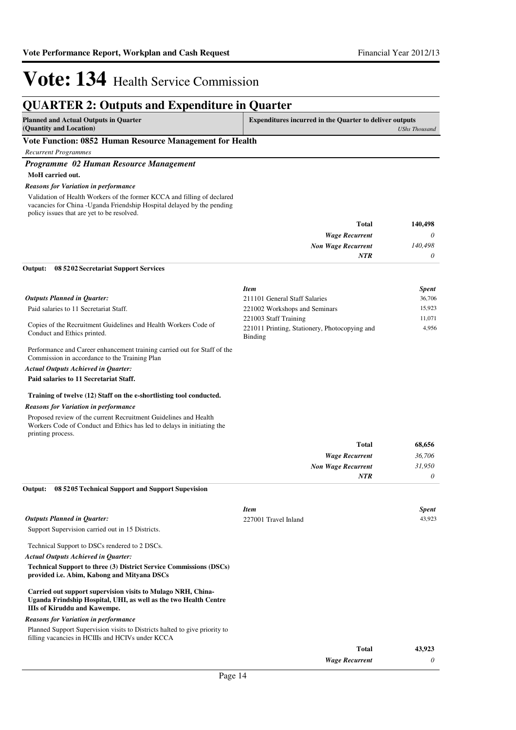## **QUARTER 2: Outputs and Expenditure in Quarter**

| Planned and Actual Outputs in Quarter                     | <b>Expenditures incurred in the Quarter to deliver outputs</b> |  |
|-----------------------------------------------------------|----------------------------------------------------------------|--|
| (Quantity and Location)                                   | UShs Thousand                                                  |  |
| Vote Function: 0852. Human Resource Management for Health |                                                                |  |

### **Vote Function: 0852 Human Resource Management for Health**

*Recurrent Programmes*

### *Programme 02 Human Resource Management*

**MoH carried out.**

#### *Reasons for Variation in performance*

Validation of Health Workers of the former KCCA and filling of declared vacancies for China -Uganda Friendship Hospital delayed by the pending policy issues that are yet to be resolved.

| 140,498  | Total                     |
|----------|---------------------------|
| 0        | <b>Wage Recurrent</b>     |
| 140,498  | <b>Non Wage Recurrent</b> |
| $\theta$ | <b>NTR</b>                |
|          |                           |

### **08 5202 Secretariat Support Services Output:**

|                                                                                                | <b>Item</b>                                              | <b>Spent</b> |
|------------------------------------------------------------------------------------------------|----------------------------------------------------------|--------------|
| <b>Outputs Planned in Ouarter:</b>                                                             | 211101 General Staff Salaries                            | 36,706       |
| Paid salaries to 11 Secretariat Staff.                                                         | 221002 Workshops and Seminars                            | 15.923       |
| Copies of the Recruitment Guidelines and Health Workers Code of<br>Conduct and Ethics printed. | 221003 Staff Training                                    | 11.071       |
|                                                                                                | 221011 Printing, Stationery, Photocopying and<br>Binding | 4.956        |

Performance and Career enhancement training carried out for Staff of the Commission in accordance to the Training Plan

### *Actual Outputs Achieved in Quarter:*

#### **Paid salaries to 11 Secretariat Staff.**

#### **Training of twelve (12) Staff on the e-shortlisting tool conducted.**

### *Reasons for Variation in performance*

Proposed review of the current Recruitment Guidelines and Health Workers Code of Conduct and Ethics has led to delays in initiating the printing process.

| <b>Total</b>              | 68,656 |
|---------------------------|--------|
| <b>Wage Recurrent</b>     | 36,706 |
| <b>Non Wage Recurrent</b> | 31,950 |
| NTR                       | 0      |

**08 5205 Technical Support and Support Supevision Output:**

|                                                                                                                                                                         | <b>Item</b>           | <b>Spent</b> |
|-------------------------------------------------------------------------------------------------------------------------------------------------------------------------|-----------------------|--------------|
| <b>Outputs Planned in Ouarter:</b>                                                                                                                                      | 227001 Travel Inland  | 43,923       |
| Support Supervision carried out in 15 Districts.                                                                                                                        |                       |              |
| Technical Support to DSCs rendered to 2 DSCs.                                                                                                                           |                       |              |
| <b>Actual Outputs Achieved in Ouarter:</b>                                                                                                                              |                       |              |
| <b>Technical Support to three (3) District Service Commissions (DSCs)</b><br>provided i.e. Abim, Kabong and Mityana DSCs                                                |                       |              |
| Carried out support supervision visits to Mulago NRH, China-<br>Uganda Frindship Hospital, UHI, as well as the two Health Centre<br><b>IIIs of Kiruddu and Kawempe.</b> |                       |              |
| <b>Reasons for Variation in performance</b>                                                                                                                             |                       |              |
| Planned Support Supervision visits to Districts halted to give priority to<br>filling vacancies in HCIIIs and HCIVs under KCCA                                          |                       |              |
|                                                                                                                                                                         | Total                 | 43,923       |
|                                                                                                                                                                         | <b>Wage Recurrent</b> | 0            |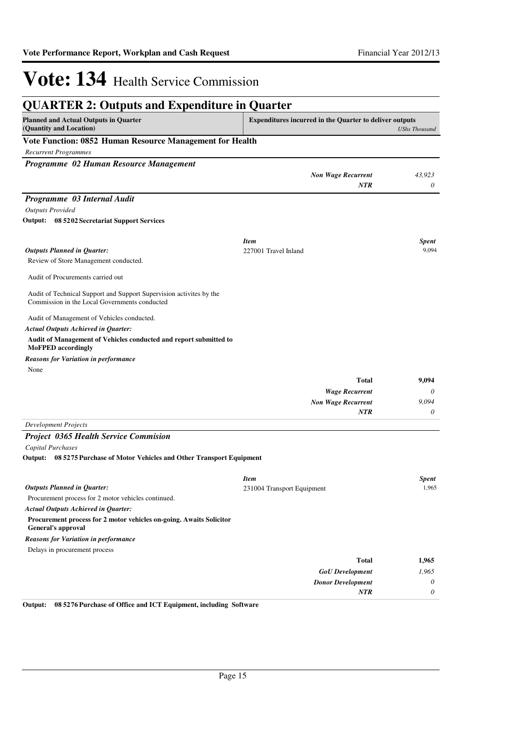| <b>QUARTER 2: Outputs and Expenditure in Quarter</b>                                                                 |                                                                                        |              |
|----------------------------------------------------------------------------------------------------------------------|----------------------------------------------------------------------------------------|--------------|
| <b>Planned and Actual Outputs in Quarter</b><br>(Quantity and Location)                                              | <b>Expenditures incurred in the Quarter to deliver outputs</b><br><b>UShs Thousand</b> |              |
| Vote Function: 0852 Human Resource Management for Health                                                             |                                                                                        |              |
| <b>Recurrent Programmes</b>                                                                                          |                                                                                        |              |
| Programme 02 Human Resource Management                                                                               |                                                                                        |              |
|                                                                                                                      | <b>Non Wage Recurrent</b>                                                              | 43,923       |
|                                                                                                                      | NTR                                                                                    | 0            |
| Programme 03 Internal Audit                                                                                          |                                                                                        |              |
| <b>Outputs Provided</b>                                                                                              |                                                                                        |              |
| Output: 08 5202 Secretariat Support Services                                                                         |                                                                                        |              |
|                                                                                                                      |                                                                                        |              |
|                                                                                                                      | <b>Item</b>                                                                            | <b>Spent</b> |
| <b>Outputs Planned in Quarter:</b>                                                                                   | 227001 Travel Inland                                                                   | 9,094        |
| Review of Store Management conducted.                                                                                |                                                                                        |              |
| Audit of Procurements carried out                                                                                    |                                                                                        |              |
| Audit of Technical Support and Support Supervision activites by the<br>Commission in the Local Governments conducted |                                                                                        |              |
| Audit of Management of Vehicles conducted.                                                                           |                                                                                        |              |
| <b>Actual Outputs Achieved in Quarter:</b>                                                                           |                                                                                        |              |
| Audit of Management of Vehicles conducted and report submitted to<br><b>MoFPED</b> accordingly                       |                                                                                        |              |
| <b>Reasons for Variation in performance</b>                                                                          |                                                                                        |              |
| None                                                                                                                 |                                                                                        |              |
|                                                                                                                      | <b>Total</b>                                                                           | 9,094        |
|                                                                                                                      | <b>Wage Recurrent</b>                                                                  | 0            |
|                                                                                                                      | <b>Non Wage Recurrent</b>                                                              | 9,094        |
|                                                                                                                      | <b>NTR</b>                                                                             | 0            |
| <b>Development Projects</b>                                                                                          |                                                                                        |              |
| <b>Project 0365 Health Service Commision</b>                                                                         |                                                                                        |              |
| Capital Purchases                                                                                                    |                                                                                        |              |
| Output: 08 5275 Purchase of Motor Vehicles and Other Transport Equipment                                             |                                                                                        |              |
|                                                                                                                      | <b>Item</b>                                                                            | <b>Spent</b> |
| <b>Outputs Planned in Quarter:</b>                                                                                   | 231004 Transport Equipment                                                             | 1,965        |
| Procurement process for 2 motor vehicles continued.                                                                  |                                                                                        |              |
| <b>Actual Outputs Achieved in Quarter:</b>                                                                           |                                                                                        |              |
| Procurement process for 2 motor vehicles on-going. Awaits Solicitor<br><b>General's approval</b>                     |                                                                                        |              |
| <b>Reasons for Variation in performance</b>                                                                          |                                                                                        |              |
| Delays in procurement process                                                                                        |                                                                                        |              |
|                                                                                                                      | <b>Total</b>                                                                           | 1,965        |
|                                                                                                                      | <b>GoU</b> Development                                                                 | 1,965        |
|                                                                                                                      | <b>Donor Development</b>                                                               | $\theta$     |
| 0.003<br>00.5275<br>J LOT E.                                                                                         | NTR                                                                                    | 0            |

**Output: 08 5276 Purchase of Office and ICT Equipment, including Software**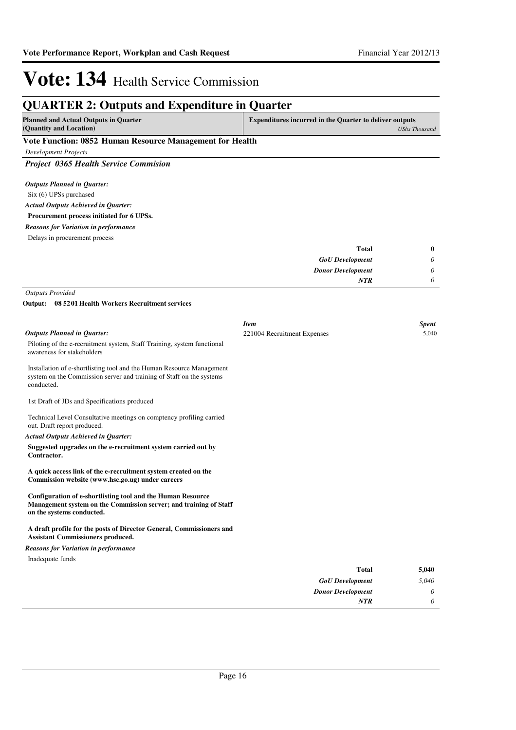## **QUARTER 2: Outputs and Expenditure in Quarter**

| <b>Planned and Actual Outputs in Quarter</b>             | <b>Expenditures incurred in the Quarter to deliver outputs</b> |  |
|----------------------------------------------------------|----------------------------------------------------------------|--|
| (Quantity and Location)                                  | UShs Thousand                                                  |  |
| Vete Function: 0852 Human Desauree Managament for Hoolth |                                                                |  |

### **Vote Function: 0852 Human Resource Management for Health**

*Development Projects*

*Project 0365 Health Service Commision*

| <b>Outputs Planned in Ouarter:</b>         |
|--------------------------------------------|
| Six (6) UPSs purchased                     |
| <b>Actual Outputs Achieved in Ouarter:</b> |
| Procurement process initiated for 6 UPSs.  |

*Reasons for Variation in performance*

Delays in procurement process

| <b>Total</b>             | $\bf{0}$ |
|--------------------------|----------|
| <b>GoU</b> Development   | $\theta$ |
| <b>Donor Development</b> | $\theta$ |
| <b>NTR</b>               | $\theta$ |

*Outputs Provided*

#### **08 5201 Health Workers Recruitment services Output:**

|                                                                                                                                                               | <b>Item</b>                 | <b>Spent</b> |
|---------------------------------------------------------------------------------------------------------------------------------------------------------------|-----------------------------|--------------|
| <b>Outputs Planned in Quarter:</b>                                                                                                                            | 221004 Recruitment Expenses | 5,040        |
| Piloting of the e-recruitment system, Staff Training, system functional<br>awareness for stakeholders                                                         |                             |              |
| Installation of e-shortlisting tool and the Human Resource Management<br>system on the Commission server and training of Staff on the systems<br>conducted.   |                             |              |
| 1st Draft of JDs and Specifications produced                                                                                                                  |                             |              |
| Technical Level Consultative meetings on comptency profiling carried<br>out. Draft report produced.                                                           |                             |              |
| <b>Actual Outputs Achieved in Quarter:</b>                                                                                                                    |                             |              |
| Suggested upgrades on the e-recruitment system carried out by<br>Contractor.                                                                                  |                             |              |
| A quick access link of the e-recruitment system created on the<br>Commission website (www.hsc.go.ug) under careers                                            |                             |              |
| Configuration of e-shortlisting tool and the Human Resource<br>Management system on the Commission server; and training of Staff<br>on the systems conducted. |                             |              |
| A draft profile for the posts of Director General, Commissioners and<br><b>Assistant Commissioners produced.</b>                                              |                             |              |
| <b>Reasons for Variation in performance</b>                                                                                                                   |                             |              |
| Inadequate funds                                                                                                                                              |                             |              |
|                                                                                                                                                               | <b>Total</b>                | 5,040        |
|                                                                                                                                                               | <b>GoU</b> Development      | 5.040        |

*Donor Development*

*NTR*

*0 0*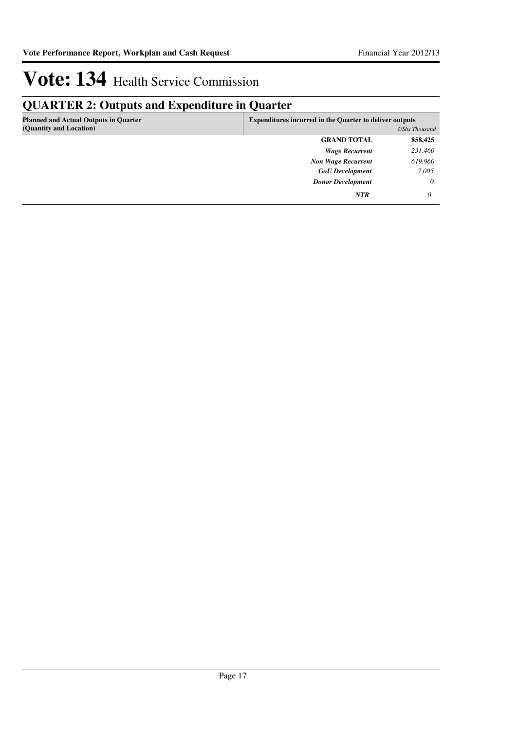## **QUARTER 2: Outputs and Expenditure in Quarter**

| <b>Planned and Actual Outputs in Quarter</b> | <b>Expenditures incurred in the Quarter to deliver outputs</b> |                      |
|----------------------------------------------|----------------------------------------------------------------|----------------------|
| (Quantity and Location)                      |                                                                | <b>UShs Thousand</b> |
|                                              | <b>GRAND TOTAL</b>                                             | 858,425              |
|                                              | <b>Wage Recurrent</b>                                          | 231,460              |
|                                              | <b>Non Wage Recurrent</b>                                      | 619,960              |
|                                              | <b>GoU</b> Development                                         | 7,005                |
|                                              | <b>Donor Development</b>                                       | $\theta$             |
|                                              | <b>NTR</b>                                                     | 0                    |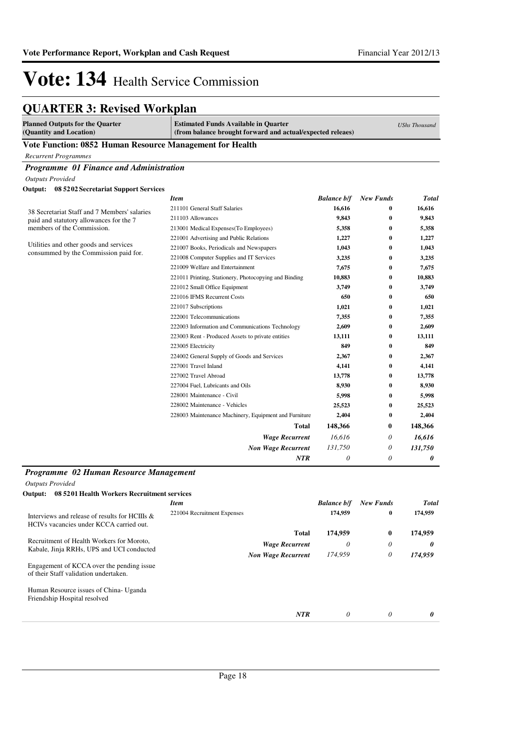## **QUARTER 3: Revised Workplan**

| <b>Planned Outputs for the Quarter</b><br>(Quantity and Location)                         | <b>Estimated Funds Available in Quarter</b><br>(from balance brought forward and actual/expected releaes) |                    |                  | <b>UShs Thousand</b>  |  |
|-------------------------------------------------------------------------------------------|-----------------------------------------------------------------------------------------------------------|--------------------|------------------|-----------------------|--|
| Vote Function: 0852 Human Resource Management for Health                                  |                                                                                                           |                    |                  |                       |  |
| <b>Recurrent Programmes</b>                                                               |                                                                                                           |                    |                  |                       |  |
| Programme 01 Finance and Administration                                                   |                                                                                                           |                    |                  |                       |  |
| <b>Outputs Provided</b>                                                                   |                                                                                                           |                    |                  |                       |  |
| Output: 08 5202 Secretariat Support Services                                              |                                                                                                           |                    |                  |                       |  |
|                                                                                           | <b>Item</b>                                                                                               | <b>Balance b/f</b> | New Funds        | <b>Total</b>          |  |
|                                                                                           | 211101 General Staff Salaries                                                                             | 16,616             | 0                | 16,616                |  |
| 38 Secretariat Staff and 7 Members' salaries<br>paid and statutory allowances for the 7   | 211103 Allowances                                                                                         | 9,843              | $\bf{0}$         | 9,843                 |  |
| members of the Commission.<br>213001 Medical Expenses(To Employees)                       |                                                                                                           | 5,358              | 0                | 5,358                 |  |
|                                                                                           | 221001 Advertising and Public Relations                                                                   | 1,227              | $\bf{0}$         | 1,227                 |  |
| Utilities and other goods and services                                                    | 221007 Books, Periodicals and Newspapers                                                                  | 1,043              | $\bf{0}$         | 1,043                 |  |
| consummed by the Commission paid for.                                                     | 221008 Computer Supplies and IT Services                                                                  | 3,235              | 0                | 3,235                 |  |
|                                                                                           | 221009 Welfare and Entertainment                                                                          | 7,675              | 0                | 7,675                 |  |
|                                                                                           | 221011 Printing, Stationery, Photocopying and Binding                                                     | 10,883             | 0                | 10,883                |  |
|                                                                                           | 221012 Small Office Equipment                                                                             | 3,749              | $\bf{0}$         | 3,749                 |  |
|                                                                                           | 221016 IFMS Recurrent Costs                                                                               | 650                | $\bf{0}$         | 650                   |  |
|                                                                                           | 221017 Subscriptions                                                                                      | 1,021              | 0                | 1,021                 |  |
|                                                                                           | 222001 Telecommunications                                                                                 | 7,355              | $\bf{0}$         | 7,355                 |  |
|                                                                                           | 222003 Information and Communications Technology                                                          | 2,609              | $\bf{0}$         | 2,609                 |  |
|                                                                                           | 223003 Rent - Produced Assets to private entities                                                         | 13,111             | 0                | 13,111                |  |
|                                                                                           | 223005 Electricity                                                                                        | 849                | 0                | 849                   |  |
|                                                                                           | 224002 General Supply of Goods and Services                                                               | 2,367              | 0                | 2,367                 |  |
|                                                                                           | 227001 Travel Inland                                                                                      | 4,141              | 0                | 4,141                 |  |
|                                                                                           | 227002 Travel Abroad                                                                                      | 13,778             | $\bf{0}$         | 13,778                |  |
|                                                                                           | 227004 Fuel, Lubricants and Oils                                                                          | 8,930              | $\bf{0}$         | 8,930                 |  |
|                                                                                           | 228001 Maintenance - Civil                                                                                | 5,998              | $\bf{0}$         | 5,998                 |  |
|                                                                                           | 228002 Maintenance - Vehicles                                                                             | 25,523             | 0                | 25,523                |  |
|                                                                                           | 228003 Maintenance Machinery, Equipment and Furniture                                                     | 2,404              | 0                | 2,404                 |  |
|                                                                                           | Total                                                                                                     | 148,366            | 0                | 148,366               |  |
|                                                                                           | <b>Wage Recurrent</b>                                                                                     | 16,616             | 0                | 16,616                |  |
|                                                                                           | <b>Non Wage Recurrent</b>                                                                                 | 131,750            | 0                | 131,750               |  |
|                                                                                           | NTR                                                                                                       | 0                  | 0                | 0                     |  |
|                                                                                           |                                                                                                           |                    |                  |                       |  |
| Programme 02 Human Resource Management                                                    |                                                                                                           |                    |                  |                       |  |
| <b>Outputs Provided</b>                                                                   |                                                                                                           |                    |                  |                       |  |
| 08 5201 Health Workers Recruitment services<br>Output:                                    |                                                                                                           |                    |                  |                       |  |
|                                                                                           | <b>Item</b>                                                                                               | <b>Balance b/f</b> | <b>New Funds</b> | <b>Total</b>          |  |
| Interviews and release of results for HCIIIs &<br>HCIVs vacancies under KCCA carried out. | 221004 Recruitment Expenses                                                                               | 174,959            | $\bf{0}$         | 174,959               |  |
|                                                                                           | <b>Total</b>                                                                                              | 174,959            | 0                | 174,959               |  |
| Recruitment of Health Workers for Moroto,                                                 | <b>Wage Recurrent</b>                                                                                     | 0                  | 0                | 0                     |  |
| Kabale, Jinja RRHs, UPS and UCI conducted                                                 | <b>Non Wage Recurrent</b>                                                                                 | 174,959            | 0                | 174,959               |  |
| Engagement of KCCA over the pending issue<br>of their Staff validation undertaken.        |                                                                                                           |                    |                  |                       |  |
| Human Resource issues of China- Uganda<br>Friendship Hospital resolved                    |                                                                                                           |                    |                  |                       |  |
|                                                                                           | $\overline{NTR}$                                                                                          | 0                  | $\theta$         | $\boldsymbol{\theta}$ |  |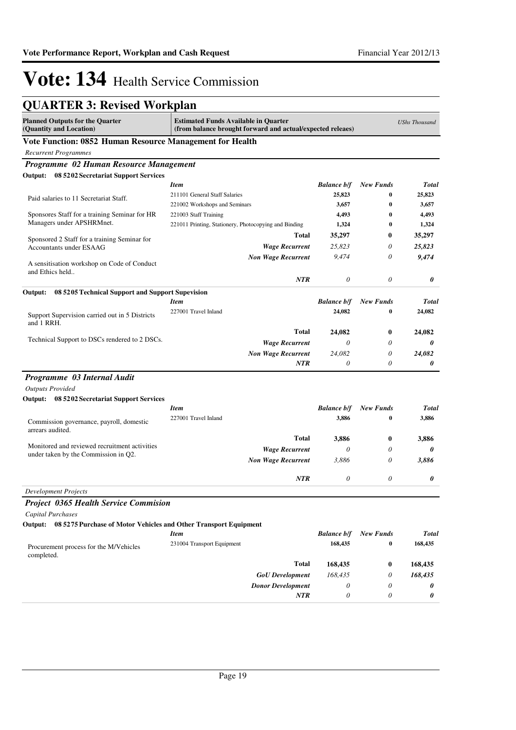## **QUARTER 3: Revised Workplan**

| <b>Planned Outputs for the Quarter</b>                                     | <b>Estimated Funds Available in Quarter</b>                |                       |                  |              |
|----------------------------------------------------------------------------|------------------------------------------------------------|-----------------------|------------------|--------------|
| (Quantity and Location)                                                    | (from balance brought forward and actual/expected releaes) | <b>UShs Thousand</b>  |                  |              |
| Vote Function: 0852 Human Resource Management for Health                   |                                                            |                       |                  |              |
| <b>Recurrent Programmes</b>                                                |                                                            |                       |                  |              |
| Programme 02 Human Resource Management                                     |                                                            |                       |                  |              |
| Output: 08 5202 Secretariat Support Services                               |                                                            |                       |                  |              |
|                                                                            | <b>Item</b>                                                | <b>Balance b/f</b>    | <b>New Funds</b> | <b>Total</b> |
| Paid salaries to 11 Secretariat Staff.                                     | 211101 General Staff Salaries                              | 25,823                | 0                | 25,823       |
|                                                                            | 221002 Workshops and Seminars                              | 3,657                 | 0                | 3,657        |
| Sponsores Staff for a training Seminar for HR<br>Managers under APSHRMnet. | 221003 Staff Training                                      | 4,493                 | 0                | 4,493        |
|                                                                            | 221011 Printing, Stationery, Photocopying and Binding      | 1,324                 | 0                | 1,324        |
| Sponsored 2 Staff for a training Seminar for                               | Total                                                      | 35,297                | 0                | 35,297       |
| <b>Accountants under ESAAG</b>                                             | <b>Wage Recurrent</b>                                      | 25,823                | 0                | 25,823       |
| A sensitisation workshop on Code of Conduct                                | <b>Non Wage Recurrent</b>                                  | 9,474                 | 0                | 9,474        |
| and Ethics held                                                            | <b>NTR</b>                                                 | $\boldsymbol{\theta}$ | 0                | 0            |
|                                                                            |                                                            |                       |                  |              |
| 08 5205 Technical Support and Support Supevision<br>Output:                | <b>Item</b>                                                | <b>Balance b/f</b>    | <b>New Funds</b> | <b>Total</b> |
|                                                                            | 227001 Travel Inland                                       | 24,082                | $\bf{0}$         | 24,082       |
| Support Supervision carried out in 5 Districts<br>and 1 RRH.               |                                                            |                       |                  |              |
| Technical Support to DSCs rendered to 2 DSCs.                              | <b>Total</b>                                               | 24,082                | 0                | 24,082       |
|                                                                            | <b>Wage Recurrent</b>                                      | 0                     | 0                | 0            |
|                                                                            | <b>Non Wage Recurrent</b>                                  | 24,082                | 0                | 24,082       |
|                                                                            | NTR                                                        | $\theta$              | 0                | 0            |
| Programme 03 Internal Audit                                                |                                                            |                       |                  |              |
| <b>Outputs Provided</b>                                                    |                                                            |                       |                  |              |
| Output: 08 5202 Secretariat Support Services                               |                                                            |                       |                  |              |
|                                                                            | <b>Item</b>                                                | <b>Balance b/f</b>    | <b>New Funds</b> | <b>Total</b> |
| Commission governance, payroll, domestic<br>arrears audited.               | 227001 Travel Inland                                       | 3,886                 | 0                | 3,886        |
|                                                                            | Total                                                      | 3,886                 | 0                | 3,886        |
| Monitored and reviewed recruitment activities                              | <b>Wage Recurrent</b>                                      | 0                     | 0                | 0            |
| under taken by the Commission in Q2.                                       | <b>Non Wage Recurrent</b>                                  | 3,886                 | 0                | 3,886        |
|                                                                            | <b>NTR</b>                                                 | $\theta$              | $\theta$         | 0            |
| <b>Development Projects</b>                                                |                                                            |                       |                  |              |
| <b>Project 0365 Health Service Commision</b>                               |                                                            |                       |                  |              |
| <b>Capital Purchases</b>                                                   |                                                            |                       |                  |              |
| Output: 08 5275 Purchase of Motor Vehicles and Other Transport Equipment   |                                                            |                       |                  |              |
|                                                                            | <b>Item</b>                                                | <b>Balance b/f</b>    | <b>New Funds</b> | <b>Total</b> |
| Procurement process for the M/Vehicles<br>completed.                       | 231004 Transport Equipment                                 | 168,435               | $\bf{0}$         | 168,435      |
|                                                                            | Total                                                      | 168,435               | 0                | 168,435      |
|                                                                            |                                                            |                       |                  |              |
|                                                                            | <b>GoU</b> Development                                     | 168,435               | 0                | 168,435      |
|                                                                            | <b>Donor Development</b>                                   | 0                     | 0                | 0            |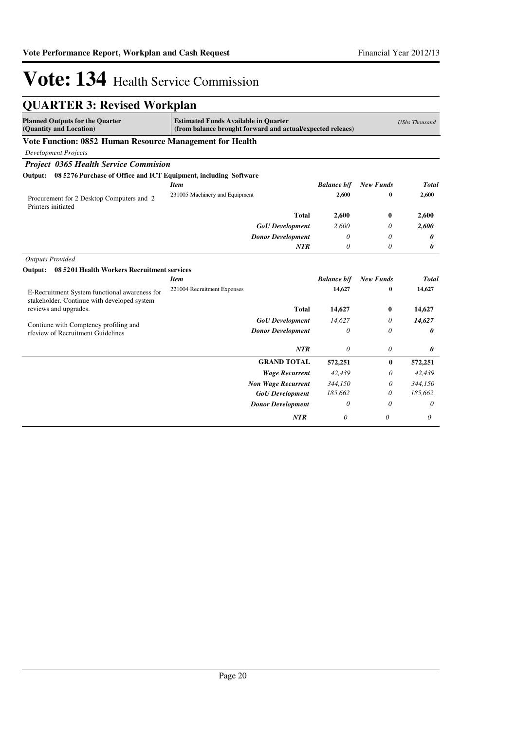| <b>QUARTER 3: Revised Workplan</b>                                                           |                                                                                                           |                    |                  |                      |
|----------------------------------------------------------------------------------------------|-----------------------------------------------------------------------------------------------------------|--------------------|------------------|----------------------|
| <b>Planned Outputs for the Quarter</b><br>(Quantity and Location)                            | <b>Estimated Funds Available in Quarter</b><br>(from balance brought forward and actual/expected releaes) |                    |                  | <b>UShs Thousand</b> |
| Vote Function: 0852 Human Resource Management for Health                                     |                                                                                                           |                    |                  |                      |
| <b>Development Projects</b>                                                                  |                                                                                                           |                    |                  |                      |
| <b>Project 0365 Health Service Commision</b>                                                 |                                                                                                           |                    |                  |                      |
| Output: 08 5276 Purchase of Office and ICT Equipment, including Software                     |                                                                                                           |                    |                  |                      |
|                                                                                              | <b>Item</b>                                                                                               | <b>Balance b/f</b> | <b>New Funds</b> | <b>Total</b>         |
| Procurement for 2 Desktop Computers and 2<br>Printers initiated                              | 231005 Machinery and Equipment                                                                            | 2,600              | $\bf{0}$         | 2,600                |
|                                                                                              | <b>Total</b>                                                                                              | 2,600              | $\bf{0}$         | 2,600                |
|                                                                                              | <b>GoU</b> Development                                                                                    | 2.600              | 0                | 2,600                |
|                                                                                              | <b>Donor Development</b>                                                                                  | $\theta$           | 0                | 0                    |
|                                                                                              | <b>NTR</b>                                                                                                | $\theta$           | 0                | 0                    |
| <b>Outputs Provided</b>                                                                      |                                                                                                           |                    |                  |                      |
| 08 5201 Health Workers Recruitment services<br>Output:                                       |                                                                                                           |                    |                  |                      |
|                                                                                              | <b>Item</b>                                                                                               | <b>Balance b/f</b> | <b>New Funds</b> | <b>Total</b>         |
| E-Recruitment System functional awareness for<br>stakeholder. Continue with developed system | 221004 Recruitment Expenses                                                                               | 14,627             | 0                | 14,627               |
| reviews and upgrades.                                                                        | <b>Total</b>                                                                                              | 14,627             | $\bf{0}$         | 14,627               |
| Contiune with Comptency profiling and                                                        | <b>GoU</b> Development                                                                                    | 14.627             | 0                | 14,627               |
| rfeview of Recruitment Guidelines                                                            | <b>Donor Development</b>                                                                                  | 0                  | 0                | 0                    |
|                                                                                              | <b>NTR</b>                                                                                                | $\theta$           | 0                | 0                    |
|                                                                                              | <b>GRAND TOTAL</b>                                                                                        | 572,251            | $\bf{0}$         | 572,251              |
|                                                                                              | <b>Wage Recurrent</b>                                                                                     | 42,439             | 0                | 42,439               |
|                                                                                              | <b>Non Wage Recurrent</b>                                                                                 | 344,150            | 0                | 344,150              |
|                                                                                              | <b>GoU</b> Development                                                                                    | 185,662            | 0                | 185,662              |
|                                                                                              | <b>Donor Development</b>                                                                                  | 0                  | 0                | 0                    |
|                                                                                              | <b>NTR</b>                                                                                                | $\theta$           | $\theta$         | 0                    |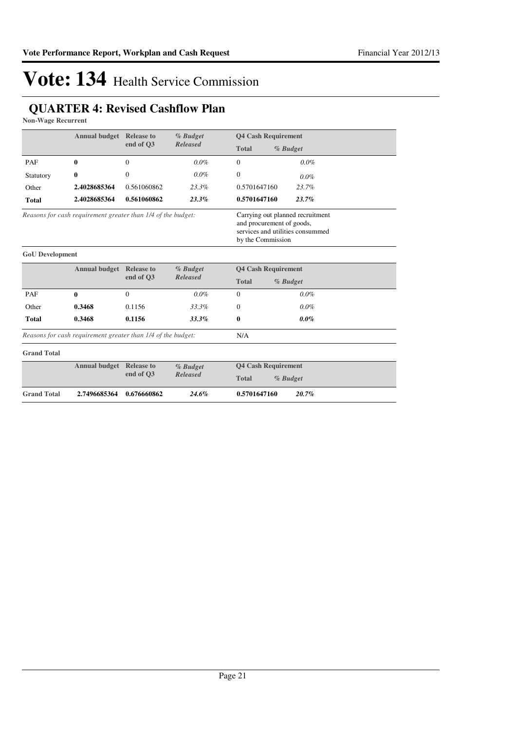## **QUARTER 4: Revised Cashflow Plan**

**Non-Wage Recurrent**

| <b>Annual budget</b> Release to                              |                      | $%$ Budget                                                                                                             | <b>Q4 Cash Requirement</b> |                            |         |
|--------------------------------------------------------------|----------------------|------------------------------------------------------------------------------------------------------------------------|----------------------------|----------------------------|---------|
|                                                              | end of O3            | <b>Released</b>                                                                                                        | <b>Total</b>               | % Budget                   |         |
| PAF                                                          | 0                    | $\Omega$                                                                                                               | $0.0\%$                    | $\Omega$                   | $0.0\%$ |
| Statutory                                                    | 0                    | $\Omega$                                                                                                               | $0.0\%$                    | $\Omega$                   | $0.0\%$ |
| Other                                                        | 2.4028685364         | 0.561060862                                                                                                            | 23.3%                      | 0.5701647160               | 23.7%   |
| <b>Total</b>                                                 | 2.4028685364         | 0.561060862                                                                                                            | $23.3\%$                   | 0.5701647160               | 23.7%   |
| Reasons for cash requirement greater than 1/4 of the budget: |                      | Carrying out planned recruitment<br>and procurement of goods,<br>services and utilities consummed<br>by the Commission |                            |                            |         |
| <b>GoU</b> Development                                       |                      |                                                                                                                        |                            |                            |         |
|                                                              | <b>Annual budget</b> | <b>Release to</b><br>$\sim$ d $\sim$ 02                                                                                | % Budget<br>$D$ algoraad   | <b>Q4 Cash Requirement</b> |         |

|              | Annual budget Release to |              | <i>Yo Buaget</i> |          | 04 Cash Requirement |  |
|--------------|--------------------------|--------------|------------------|----------|---------------------|--|
| end of O3    | Released                 | <b>Total</b> | $%$ Budget       |          |                     |  |
| PAF          |                          |              | $0.0\%$          | $\Omega$ | $0.0\%$             |  |
| Other        | 0.3468                   | 0.1156       | 33.3%            | 0        | $0.0\%$             |  |
| <b>Total</b> | 0.3468                   | 0.1156       | 33.3%            |          | $0.0\%$             |  |

N/A

*Reasons for cash requirement greater than 1/4 of the budget:*

| <b>Grand Total</b> |                                 |             |             |                            |
|--------------------|---------------------------------|-------------|-------------|----------------------------|
|                    | <b>Annual budget Release to</b> |             | $\%$ Budget | <b>04 Cash Requirement</b> |
|                    |                                 | end of O3   | Released    | <b>Total</b><br>% Budget   |
| <b>Grand Total</b> | 2.7496685364                    | 0.676660862 | 24.6%       | 0.5701647160<br>$20.7\%$   |